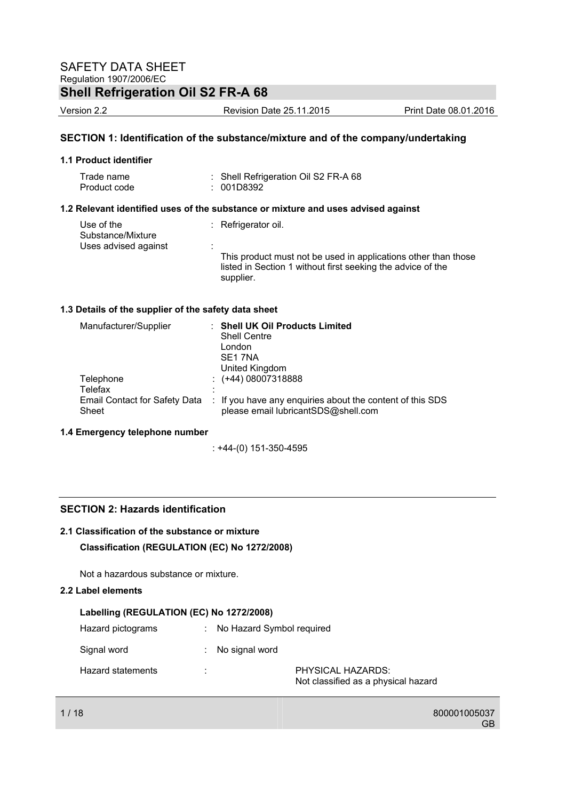Version 2.2 Revision Date 25.11.2015 Print Date 08.01.2016

### **SECTION 1: Identification of the substance/mixture and of the company/undertaking**

### **1.1 Product identifier**

| Trade name   | : Shell Refrigeration Oil S2 FR-A 68 |
|--------------|--------------------------------------|
| Product code | : 001D8392                           |

### **1.2 Relevant identified uses of the substance or mixture and uses advised against**

| Use of the<br>Substance/Mixture | $\therefore$ Refrigerator oil.                                                                                                             |  |
|---------------------------------|--------------------------------------------------------------------------------------------------------------------------------------------|--|
| Uses advised against            |                                                                                                                                            |  |
|                                 | This product must not be used in applications other than those<br>listed in Section 1 without first seeking the advice of the<br>supplier. |  |

### **1.3 Details of the supplier of the safety data sheet**

| Manufacturer/Supplier                | <b>Shell UK Oil Products Limited</b><br><b>Shell Centre</b><br>London<br>SE1 7NA<br>United Kingdom |
|--------------------------------------|----------------------------------------------------------------------------------------------------|
| Telephone                            | $\div$ (+44) 08007318888                                                                           |
| Telefax                              | ٠                                                                                                  |
| <b>Email Contact for Safety Data</b> | : If you have any enquiries about the content of this SDS                                          |
| Sheet                                | please email lubricantSDS@shell.com                                                                |

### **1.4 Emergency telephone number**

: +44-(0) 151-350-4595

### **SECTION 2: Hazards identification**

### **2.1 Classification of the substance or mixture**

### **Classification (REGULATION (EC) No 1272/2008)**

Not a hazardous substance or mixture.

### **2.2 Label elements**

### **Labelling (REGULATION (EC) No 1272/2008)**

| Hazard pictograms |   | : No Hazard Symbol required |                                                          |
|-------------------|---|-----------------------------|----------------------------------------------------------|
| Signal word       |   | : No signal word            |                                                          |
| Hazard statements | ٠ |                             | PHYSICAL HAZARDS:<br>Not classified as a physical hazard |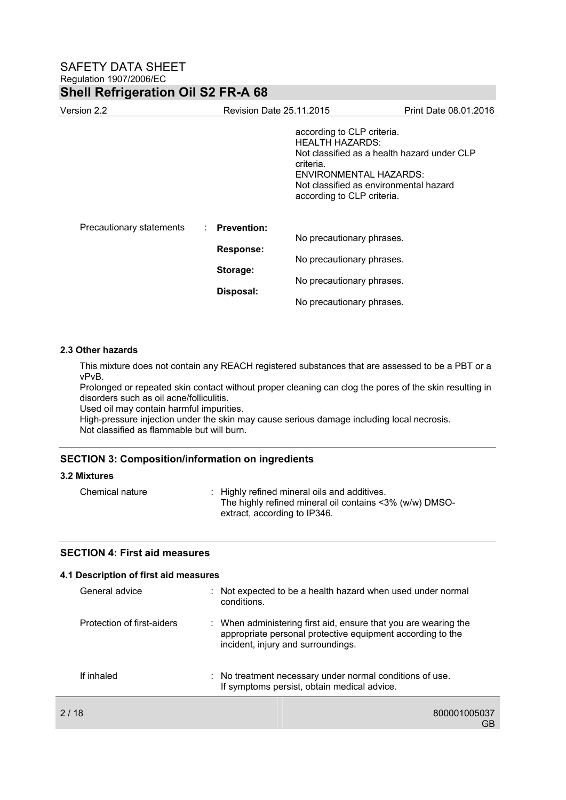| Version 2.2                                       | <b>Revision Date 25.11.2015</b> |                                                                                                                                                                                                             | Print Date 08.01.2016 |
|---------------------------------------------------|---------------------------------|-------------------------------------------------------------------------------------------------------------------------------------------------------------------------------------------------------------|-----------------------|
|                                                   |                                 | according to CLP criteria.<br>HEALTH HAZARDS:<br>Not classified as a health hazard under CLP<br>criteria.<br>ENVIRONMENTAL HAZARDS:<br>Not classified as environmental hazard<br>according to CLP criteria. |                       |
| Precautionary statements<br>Storage:<br>Disposal: | : Prevention:                   | No precautionary phrases.                                                                                                                                                                                   |                       |
|                                                   | <b>Response:</b>                | No precautionary phrases.                                                                                                                                                                                   |                       |
|                                                   |                                 | No precautionary phrases.                                                                                                                                                                                   |                       |
|                                                   |                                 | No precautionary phrases.                                                                                                                                                                                   |                       |

### **2.3 Other hazards**

This mixture does not contain any REACH registered substances that are assessed to be a PBT or a vPvB.

Prolonged or repeated skin contact without proper cleaning can clog the pores of the skin resulting in disorders such as oil acne/folliculitis.

Used oil may contain harmful impurities.

High-pressure injection under the skin may cause serious damage including local necrosis. Not classified as flammable but will burn.

### **SECTION 3: Composition/information on ingredients**

### **3.2 Mixtures**

| Chemical nature | : Highly refined mineral oils and additives.            |
|-----------------|---------------------------------------------------------|
|                 | The highly refined mineral oil contains <3% (w/w) DMSO- |
|                 | extract, according to IP346.                            |

### **SECTION 4: First aid measures**

| 4.1 Description of first aid measures |                                                                                                                                                                     |
|---------------------------------------|---------------------------------------------------------------------------------------------------------------------------------------------------------------------|
| General advice                        | : Not expected to be a health hazard when used under normal<br>conditions.                                                                                          |
| Protection of first-aiders            | : When administering first aid, ensure that you are wearing the<br>appropriate personal protective equipment according to the<br>incident, injury and surroundings. |
| If inhaled                            | : No treatment necessary under normal conditions of use.<br>If symptoms persist, obtain medical advice.                                                             |
| 2/18                                  | 800001005037<br>GB                                                                                                                                                  |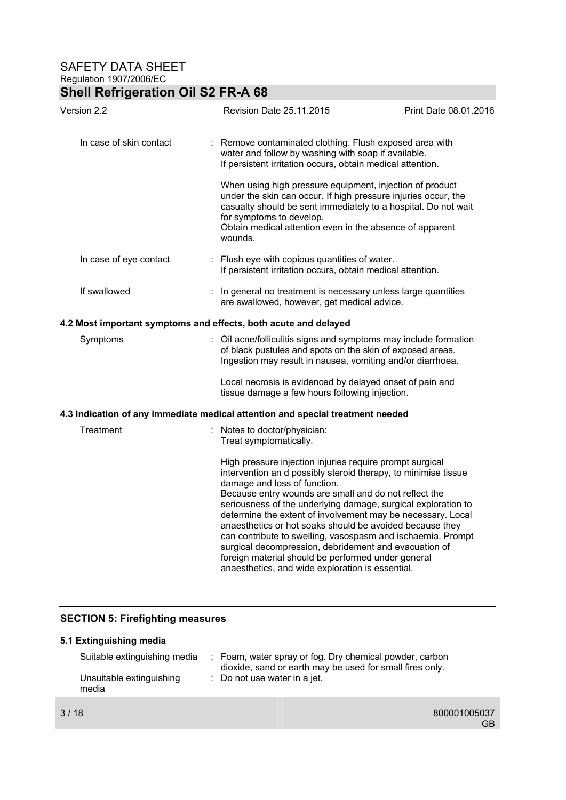# **Shell Refrigeration Oil S2 FR-A 68**

| Version 2.2                                                     | Revision Date 25.11.2015                                                                                                                                                                                                                                                                                                                                                                                                                                                                                                                                                                                                                          | Print Date 08.01.2016 |
|-----------------------------------------------------------------|---------------------------------------------------------------------------------------------------------------------------------------------------------------------------------------------------------------------------------------------------------------------------------------------------------------------------------------------------------------------------------------------------------------------------------------------------------------------------------------------------------------------------------------------------------------------------------------------------------------------------------------------------|-----------------------|
| In case of skin contact                                         | Remove contaminated clothing. Flush exposed area with<br>water and follow by washing with soap if available.<br>If persistent irritation occurs, obtain medical attention.                                                                                                                                                                                                                                                                                                                                                                                                                                                                        |                       |
|                                                                 | When using high pressure equipment, injection of product<br>under the skin can occur. If high pressure injuries occur, the<br>casualty should be sent immediately to a hospital. Do not wait<br>for symptoms to develop.<br>Obtain medical attention even in the absence of apparent<br>wounds.                                                                                                                                                                                                                                                                                                                                                   |                       |
| In case of eye contact                                          | : Flush eye with copious quantities of water.<br>If persistent irritation occurs, obtain medical attention.                                                                                                                                                                                                                                                                                                                                                                                                                                                                                                                                       |                       |
| If swallowed                                                    | In general no treatment is necessary unless large quantities<br>are swallowed, however, get medical advice.                                                                                                                                                                                                                                                                                                                                                                                                                                                                                                                                       |                       |
| 4.2 Most important symptoms and effects, both acute and delayed |                                                                                                                                                                                                                                                                                                                                                                                                                                                                                                                                                                                                                                                   |                       |
| Symptoms                                                        | Oil acne/folliculitis signs and symptoms may include formation<br>of black pustules and spots on the skin of exposed areas.<br>Ingestion may result in nausea, vomiting and/or diarrhoea.                                                                                                                                                                                                                                                                                                                                                                                                                                                         |                       |
|                                                                 | Local necrosis is evidenced by delayed onset of pain and<br>tissue damage a few hours following injection.                                                                                                                                                                                                                                                                                                                                                                                                                                                                                                                                        |                       |
|                                                                 | 4.3 Indication of any immediate medical attention and special treatment needed                                                                                                                                                                                                                                                                                                                                                                                                                                                                                                                                                                    |                       |
| Treatment                                                       | : Notes to doctor/physician:<br>Treat symptomatically.                                                                                                                                                                                                                                                                                                                                                                                                                                                                                                                                                                                            |                       |
|                                                                 | High pressure injection injuries require prompt surgical<br>intervention an d possibly steroid therapy, to minimise tissue<br>damage and loss of function.<br>Because entry wounds are small and do not reflect the<br>seriousness of the underlying damage, surgical exploration to<br>determine the extent of involvement may be necessary. Local<br>anaesthetics or hot soaks should be avoided because they<br>can contribute to swelling, vasospasm and ischaemia. Prompt<br>surgical decompression, debridement and evacuation of<br>foreign material should be performed under general<br>anaesthetics, and wide exploration is essential. |                       |

### **SECTION 5: Firefighting measures**

| 5.1 Extinguishing media           |                                                                                                                     |
|-----------------------------------|---------------------------------------------------------------------------------------------------------------------|
| Suitable extinguishing media      | : Foam, water spray or fog. Dry chemical powder, carbon<br>dioxide, sand or earth may be used for small fires only. |
| Unsuitable extinguishing<br>media | : Do not use water in a jet.                                                                                        |
|                                   |                                                                                                                     |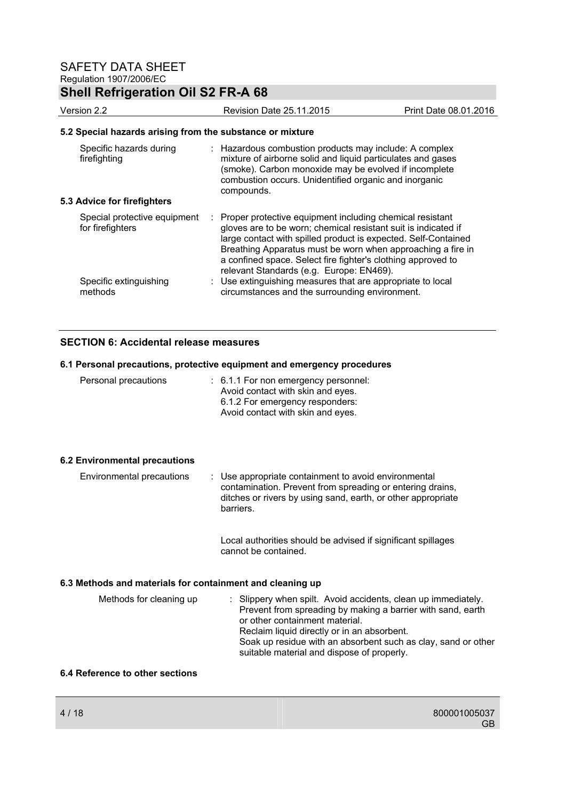# **Shell Refrigeration Oil S2 FR-A 68**

| Version 2.2                                      | <b>Revision Date 25.11.2015</b>                                                                                                                                                                                                                                                                                                                                           | Print Date 08.01.2016 |  |  |  |  |
|--------------------------------------------------|---------------------------------------------------------------------------------------------------------------------------------------------------------------------------------------------------------------------------------------------------------------------------------------------------------------------------------------------------------------------------|-----------------------|--|--|--|--|
|                                                  | 5.2 Special hazards arising from the substance or mixture                                                                                                                                                                                                                                                                                                                 |                       |  |  |  |  |
| Specific hazards during<br>firefighting          | : Hazardous combustion products may include: A complex<br>mixture of airborne solid and liquid particulates and gases<br>(smoke). Carbon monoxide may be evolved if incomplete<br>combustion occurs. Unidentified organic and inorganic<br>compounds.                                                                                                                     |                       |  |  |  |  |
| 5.3 Advice for firefighters                      |                                                                                                                                                                                                                                                                                                                                                                           |                       |  |  |  |  |
| Special protective equipment<br>for firefighters | : Proper protective equipment including chemical resistant<br>gloves are to be worn; chemical resistant suit is indicated if<br>large contact with spilled product is expected. Self-Contained<br>Breathing Apparatus must be worn when approaching a fire in<br>a confined space. Select fire fighter's clothing approved to<br>relevant Standards (e.g. Europe: EN469). |                       |  |  |  |  |
| Specific extinguishing<br>methods                | : Use extinguishing measures that are appropriate to local<br>circumstances and the surrounding environment.                                                                                                                                                                                                                                                              |                       |  |  |  |  |

### **SECTION 6: Accidental release measures**

### **6.1 Personal precautions, protective equipment and emergency procedures**

| Personal precautions | $\therefore$ 6.1.1 For non emergency personnel:<br>Avoid contact with skin and eyes.<br>6.1.2 For emergency responders:<br>Avoid contact with skin and eyes. |
|----------------------|--------------------------------------------------------------------------------------------------------------------------------------------------------------|
|                      |                                                                                                                                                              |

### **6.2 Environmental precautions**

| Environmental precautions | : Use appropriate containment to avoid environmental<br>contamination. Prevent from spreading or entering drains,<br>ditches or rivers by using sand, earth, or other appropriate<br>barriers. |
|---------------------------|------------------------------------------------------------------------------------------------------------------------------------------------------------------------------------------------|
|                           |                                                                                                                                                                                                |

 Local authorities should be advised if significant spillages cannot be contained.

### **6.3 Methods and materials for containment and cleaning up**

| Methods for cleaning up | : Slippery when spilt. Avoid accidents, clean up immediately.<br>Prevent from spreading by making a barrier with sand, earth<br>or other containment material.<br>Reclaim liquid directly or in an absorbent.<br>Soak up residue with an absorbent such as clay, sand or other<br>suitable material and dispose of properly. |  |
|-------------------------|------------------------------------------------------------------------------------------------------------------------------------------------------------------------------------------------------------------------------------------------------------------------------------------------------------------------------|--|
|                         |                                                                                                                                                                                                                                                                                                                              |  |

### **6.4 Reference to other sections**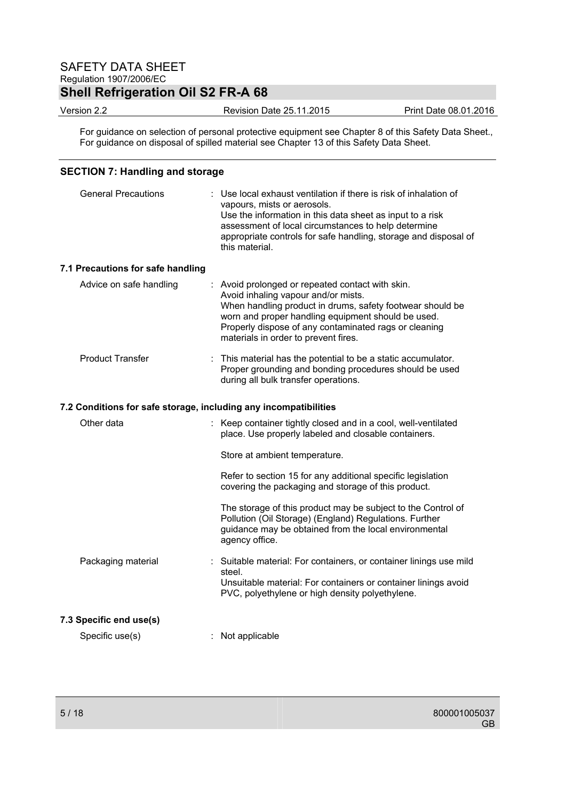# **Shell Refrigeration Oil S2 FR-A 68**

Version 2.2 Revision Date 25.11.2015 Print Date 08.01.2016

For guidance on selection of personal protective equipment see Chapter 8 of this Safety Data Sheet., For guidance on disposal of spilled material see Chapter 13 of this Safety Data Sheet.

### **SECTION 7: Handling and storage**

| <b>General Precautions</b>                                       | Use local exhaust ventilation if there is risk of inhalation of<br>vapours, mists or aerosols.<br>Use the information in this data sheet as input to a risk<br>assessment of local circumstances to help determine<br>appropriate controls for safe handling, storage and disposal of<br>this material.     |
|------------------------------------------------------------------|-------------------------------------------------------------------------------------------------------------------------------------------------------------------------------------------------------------------------------------------------------------------------------------------------------------|
| 7.1 Precautions for safe handling                                |                                                                                                                                                                                                                                                                                                             |
| Advice on safe handling                                          | : Avoid prolonged or repeated contact with skin.<br>Avoid inhaling vapour and/or mists.<br>When handling product in drums, safety footwear should be<br>worn and proper handling equipment should be used.<br>Properly dispose of any contaminated rags or cleaning<br>materials in order to prevent fires. |
| <b>Product Transfer</b>                                          | This material has the potential to be a static accumulator.<br>Proper grounding and bonding procedures should be used<br>during all bulk transfer operations.                                                                                                                                               |
| 7.2 Conditions for safe storage, including any incompatibilities |                                                                                                                                                                                                                                                                                                             |
| Other data                                                       | : Keep container tightly closed and in a cool, well-ventilated<br>place. Use properly labeled and closable containers.                                                                                                                                                                                      |
|                                                                  | Store at ambient temperature.                                                                                                                                                                                                                                                                               |
|                                                                  | Refer to section 15 for any additional specific legislation<br>covering the packaging and storage of this product.                                                                                                                                                                                          |
|                                                                  | The storage of this product may be subject to the Control of<br>Pollution (Oil Storage) (England) Regulations. Further<br>guidance may be obtained from the local environmental<br>agency office.                                                                                                           |
| Packaging material                                               | : Suitable material: For containers, or container linings use mild                                                                                                                                                                                                                                          |
|                                                                  | steel.<br>Unsuitable material: For containers or container linings avoid<br>PVC, polyethylene or high density polyethylene.                                                                                                                                                                                 |
| 7.3 Specific end use(s)                                          |                                                                                                                                                                                                                                                                                                             |
| Specific use(s)                                                  | : Not applicable                                                                                                                                                                                                                                                                                            |
|                                                                  |                                                                                                                                                                                                                                                                                                             |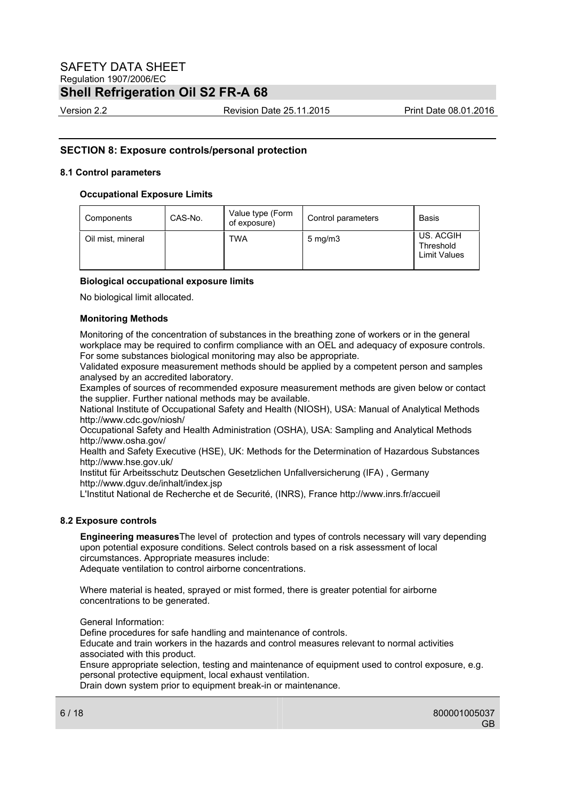Version 2.2 Revision Date 25.11.2015 Print Date 08.01.2016

### **SECTION 8: Exposure controls/personal protection**

### **8.1 Control parameters**

### **Occupational Exposure Limits**

| Components        | CAS-No. | Value type (Form<br>of exposure) | Control parameters | Basis                                         |
|-------------------|---------|----------------------------------|--------------------|-----------------------------------------------|
| Oil mist, mineral |         | TWA                              | $5 \text{ mg/m}$   | US. ACGIH<br>Threshold<br><b>Limit Values</b> |

### **Biological occupational exposure limits**

No biological limit allocated.

### **Monitoring Methods**

Monitoring of the concentration of substances in the breathing zone of workers or in the general workplace may be required to confirm compliance with an OEL and adequacy of exposure controls. For some substances biological monitoring may also be appropriate.

Validated exposure measurement methods should be applied by a competent person and samples analysed by an accredited laboratory.

Examples of sources of recommended exposure measurement methods are given below or contact the supplier. Further national methods may be available.

National Institute of Occupational Safety and Health (NIOSH), USA: Manual of Analytical Methods http://www.cdc.gov/niosh/

Occupational Safety and Health Administration (OSHA), USA: Sampling and Analytical Methods http://www.osha.gov/

Health and Safety Executive (HSE), UK: Methods for the Determination of Hazardous Substances http://www.hse.gov.uk/

Institut für Arbeitsschutz Deutschen Gesetzlichen Unfallversicherung (IFA) , Germany http://www.dguv.de/inhalt/index.jsp

L'Institut National de Recherche et de Securité, (INRS), France http://www.inrs.fr/accueil

### **8.2 Exposure controls**

**Engineering measures**The level of protection and types of controls necessary will vary depending upon potential exposure conditions. Select controls based on a risk assessment of local circumstances. Appropriate measures include: Adequate ventilation to control airborne concentrations.

Where material is heated, sprayed or mist formed, there is greater potential for airborne concentrations to be generated.

General Information:

Define procedures for safe handling and maintenance of controls.

Educate and train workers in the hazards and control measures relevant to normal activities associated with this product.

Ensure appropriate selection, testing and maintenance of equipment used to control exposure, e.g. personal protective equipment, local exhaust ventilation.

Drain down system prior to equipment break-in or maintenance.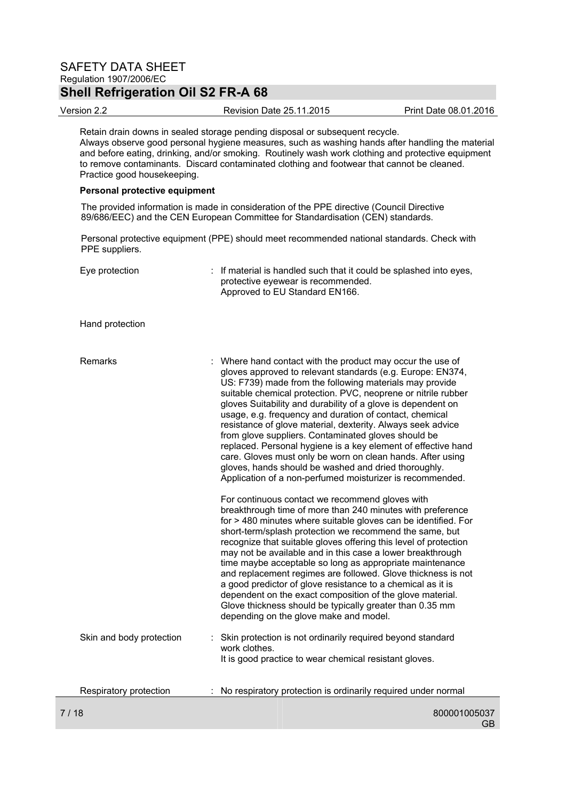Version 2.2 Revision Date 25.11.2015 Print Date 08.01.2016

Retain drain downs in sealed storage pending disposal or subsequent recycle. Always observe good personal hygiene measures, such as washing hands after handling the material and before eating, drinking, and/or smoking. Routinely wash work clothing and protective equipment to remove contaminants. Discard contaminated clothing and footwear that cannot be cleaned. Practice good housekeeping.

#### **Personal protective equipment**

The provided information is made in consideration of the PPE directive (Council Directive 89/686/EEC) and the CEN European Committee for Standardisation (CEN) standards.

Personal protective equipment (PPE) should meet recommended national standards. Check with PPE suppliers.

| Eye protection           | : If material is handled such that it could be splashed into eyes,<br>protective eyewear is recommended.<br>Approved to EU Standard EN166.                                                                                                                                                                                                                                                                                                                                                                                                                                                                                                                                                                                                                |
|--------------------------|-----------------------------------------------------------------------------------------------------------------------------------------------------------------------------------------------------------------------------------------------------------------------------------------------------------------------------------------------------------------------------------------------------------------------------------------------------------------------------------------------------------------------------------------------------------------------------------------------------------------------------------------------------------------------------------------------------------------------------------------------------------|
| Hand protection          |                                                                                                                                                                                                                                                                                                                                                                                                                                                                                                                                                                                                                                                                                                                                                           |
| Remarks                  | : Where hand contact with the product may occur the use of<br>gloves approved to relevant standards (e.g. Europe: EN374,<br>US: F739) made from the following materials may provide<br>suitable chemical protection. PVC, neoprene or nitrile rubber<br>gloves Suitability and durability of a glove is dependent on<br>usage, e.g. frequency and duration of contact, chemical<br>resistance of glove material, dexterity. Always seek advice<br>from glove suppliers. Contaminated gloves should be<br>replaced. Personal hygiene is a key element of effective hand<br>care. Gloves must only be worn on clean hands. After using<br>gloves, hands should be washed and dried thoroughly.<br>Application of a non-perfumed moisturizer is recommended. |
|                          | For continuous contact we recommend gloves with<br>breakthrough time of more than 240 minutes with preference<br>for > 480 minutes where suitable gloves can be identified. For<br>short-term/splash protection we recommend the same, but<br>recognize that suitable gloves offering this level of protection<br>may not be available and in this case a lower breakthrough<br>time maybe acceptable so long as appropriate maintenance<br>and replacement regimes are followed. Glove thickness is not<br>a good predictor of glove resistance to a chemical as it is<br>dependent on the exact composition of the glove material.<br>Glove thickness should be typically greater than 0.35 mm<br>depending on the glove make and model.                |
| Skin and body protection | Skin protection is not ordinarily required beyond standard<br>work clothes.<br>It is good practice to wear chemical resistant gloves.                                                                                                                                                                                                                                                                                                                                                                                                                                                                                                                                                                                                                     |
| Respiratory protection   | No respiratory protection is ordinarily required under normal                                                                                                                                                                                                                                                                                                                                                                                                                                                                                                                                                                                                                                                                                             |
| 7 / 18                   | 800001005037                                                                                                                                                                                                                                                                                                                                                                                                                                                                                                                                                                                                                                                                                                                                              |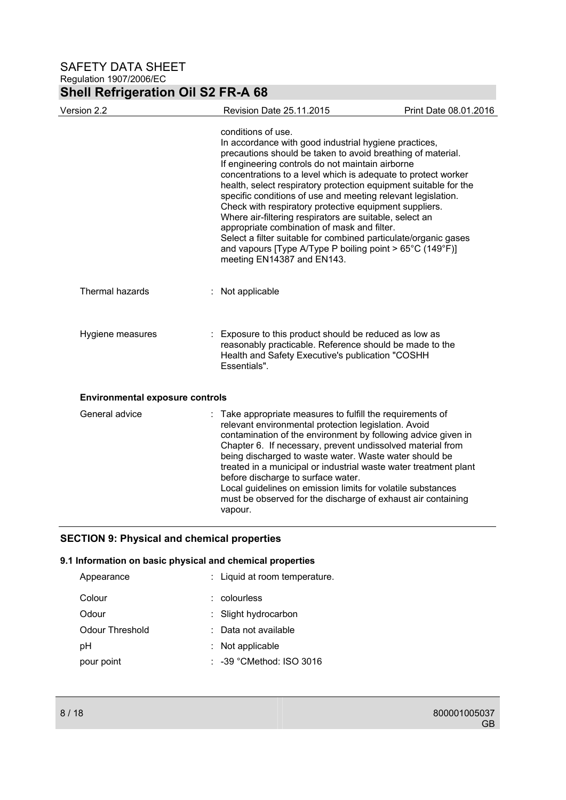# **Shell Refrigeration Oil S2 FR-A 68**

| Version 2.2                            |   | Revision Date 25.11.2015                                                                                                                                                                                                                                                                                                                                                                                                                                                                                                                                                                                                                                                                                                             | Print Date 08.01.2016 |
|----------------------------------------|---|--------------------------------------------------------------------------------------------------------------------------------------------------------------------------------------------------------------------------------------------------------------------------------------------------------------------------------------------------------------------------------------------------------------------------------------------------------------------------------------------------------------------------------------------------------------------------------------------------------------------------------------------------------------------------------------------------------------------------------------|-----------------------|
|                                        |   | conditions of use.<br>In accordance with good industrial hygiene practices,<br>precautions should be taken to avoid breathing of material.<br>If engineering controls do not maintain airborne<br>concentrations to a level which is adequate to protect worker<br>health, select respiratory protection equipment suitable for the<br>specific conditions of use and meeting relevant legislation.<br>Check with respiratory protective equipment suppliers.<br>Where air-filtering respirators are suitable, select an<br>appropriate combination of mask and filter.<br>Select a filter suitable for combined particulate/organic gases<br>and vapours [Type A/Type P boiling point > 65°C (149°F)]<br>meeting EN14387 and EN143. |                       |
| <b>Thermal hazards</b>                 | ÷ | Not applicable                                                                                                                                                                                                                                                                                                                                                                                                                                                                                                                                                                                                                                                                                                                       |                       |
| Hygiene measures                       |   | Exposure to this product should be reduced as low as<br>reasonably practicable. Reference should be made to the<br>Health and Safety Executive's publication "COSHH<br>Essentials".                                                                                                                                                                                                                                                                                                                                                                                                                                                                                                                                                  |                       |
| <b>Environmental exposure controls</b> |   |                                                                                                                                                                                                                                                                                                                                                                                                                                                                                                                                                                                                                                                                                                                                      |                       |
| General advice                         |   | : Take appropriate measures to fulfill the requirements of<br>relevant environmental protection legislation. Avoid<br>contamination of the environment by following advice given in<br>Chapter 6. If necessary, prevent undissolved material from<br>being discharged to waste water. Waste water should be<br>treated in a municipal or industrial waste water treatment plant<br>before discharge to surface water.<br>Local guidelines on emission limits for volatile substances<br>must be observed for the discharge of exhaust air containing<br>vapour.                                                                                                                                                                      |                       |

## **SECTION 9: Physical and chemical properties**

### **9.1 Information on basic physical and chemical properties**

| Appearance      | : Liquid at room temperature.       |
|-----------------|-------------------------------------|
| Colour          | colourless                          |
| Odour           | : Slight hydrocarbon                |
| Odour Threshold | Data not available                  |
| рH              | $:$ Not applicable                  |
| pour point      | $\therefore$ -39 °CMethod: ISO 3016 |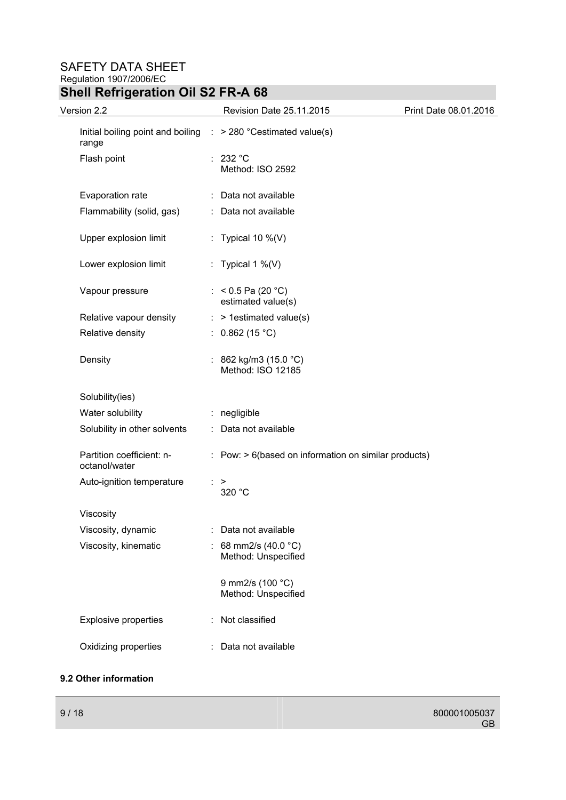## **Shell Refrigeration Oil S2 FR-A 68**

| Version 2.2                                | Revision Date 25.11.2015                                                   | Print Date 08.01.2016 |
|--------------------------------------------|----------------------------------------------------------------------------|-----------------------|
| range                                      | Initial boiling point and boiling $\therefore$ > 280 °C estimated value(s) |                       |
| Flash point                                | : 232 °C<br>Method: ISO 2592                                               |                       |
| Evaporation rate                           | : Data not available                                                       |                       |
| Flammability (solid, gas)                  | : Data not available                                                       |                       |
| Upper explosion limit                      | : Typical 10 $\%$ (V)                                                      |                       |
| Lower explosion limit                      | : Typical 1 %(V)                                                           |                       |
| Vapour pressure                            | : < $0.5$ Pa (20 °C)<br>estimated value(s)                                 |                       |
| Relative vapour density                    | $:$ > 1 estimated value(s)                                                 |                       |
| Relative density                           | : $0.862(15 °C)$                                                           |                       |
| Density                                    | : 862 kg/m3 (15.0 °C)<br>Method: ISO 12185                                 |                       |
| Solubility(ies)                            |                                                                            |                       |
| Water solubility                           | : negligible                                                               |                       |
| Solubility in other solvents               | : Data not available                                                       |                       |
| Partition coefficient: n-<br>octanol/water | $:$ Pow: $> 6$ (based on information on similar products)                  |                       |
| Auto-ignition temperature                  | ⋗<br>320 °C                                                                |                       |
| Viscosity                                  |                                                                            |                       |
| Viscosity, dynamic                         | Data not available                                                         |                       |
| Viscosity, kinematic                       | : 68 mm2/s (40.0 $^{\circ}$ C)<br>Method: Unspecified                      |                       |
|                                            | 9 mm2/s (100 °C)<br>Method: Unspecified                                    |                       |
| <b>Explosive properties</b>                | Not classified                                                             |                       |
| Oxidizing properties                       | : Data not available                                                       |                       |

### **9.2 Other information**

GB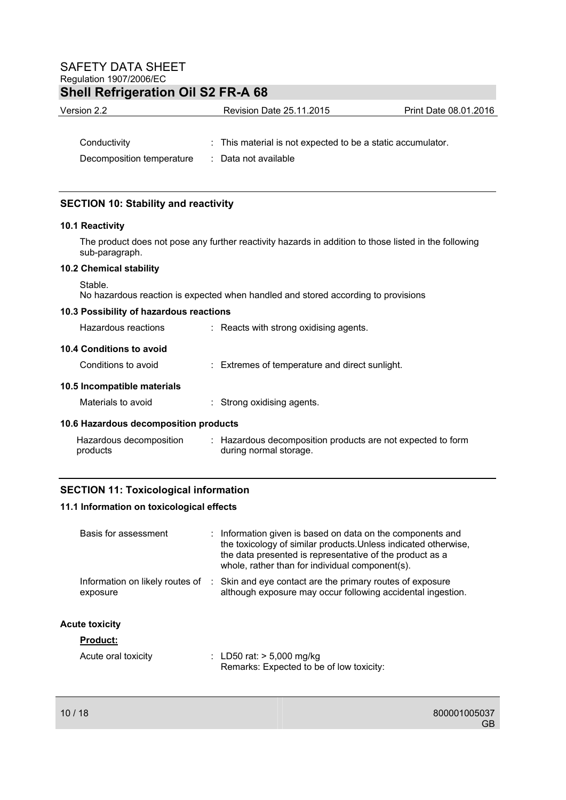# **Shell Refrigeration Oil S2 FR-A 68**

| Version 2.2               | <b>Revision Date 25.11.2015</b>                             | Print Date 08.01.2016 |
|---------------------------|-------------------------------------------------------------|-----------------------|
|                           |                                                             |                       |
| Conductivity              | : This material is not expected to be a static accumulator. |                       |
| Decomposition temperature | : Data not available                                        |                       |

### **SECTION 10: Stability and reactivity**

### **10.1 Reactivity**

The product does not pose any further reactivity hazards in addition to those listed in the following sub-paragraph.

### **10.2 Chemical stability**

Stable.

No hazardous reaction is expected when handled and stored according to provisions

### **10.3 Possibility of hazardous reactions**

| Hazardous reactions                   | $\therefore$ Reacts with strong oxidising agents.                                     |
|---------------------------------------|---------------------------------------------------------------------------------------|
| 10.4 Conditions to avoid              |                                                                                       |
| Conditions to avoid                   | $\therefore$ Extremes of temperature and direct sunlight.                             |
| 10.5 Incompatible materials           |                                                                                       |
| Materials to avoid                    | $\therefore$ Strong oxidising agents.                                                 |
| 10.6 Hazardous decomposition products |                                                                                       |
| Hazardous decomposition<br>products   | : Hazardous decomposition products are not expected to form<br>during normal storage. |

### **SECTION 11: Toxicological information**

### **11.1 Information on toxicological effects**

| Basis for assessment                        | : Information given is based on data on the components and<br>the toxicology of similar products. Unless indicated otherwise,<br>the data presented is representative of the product as a<br>whole, rather than for individual component(s). |
|---------------------------------------------|----------------------------------------------------------------------------------------------------------------------------------------------------------------------------------------------------------------------------------------------|
| Information on likely routes of<br>exposure | : Skin and eye contact are the primary routes of exposure<br>although exposure may occur following accidental ingestion.                                                                                                                     |
| <b>Acute toxicity</b>                       |                                                                                                                                                                                                                                              |
| <b>Product:</b>                             |                                                                                                                                                                                                                                              |
| Acute oral toxicity                         | : LD50 rat: $> 5,000$ mg/kg<br>Remarks: Expected to be of low toxicity:                                                                                                                                                                      |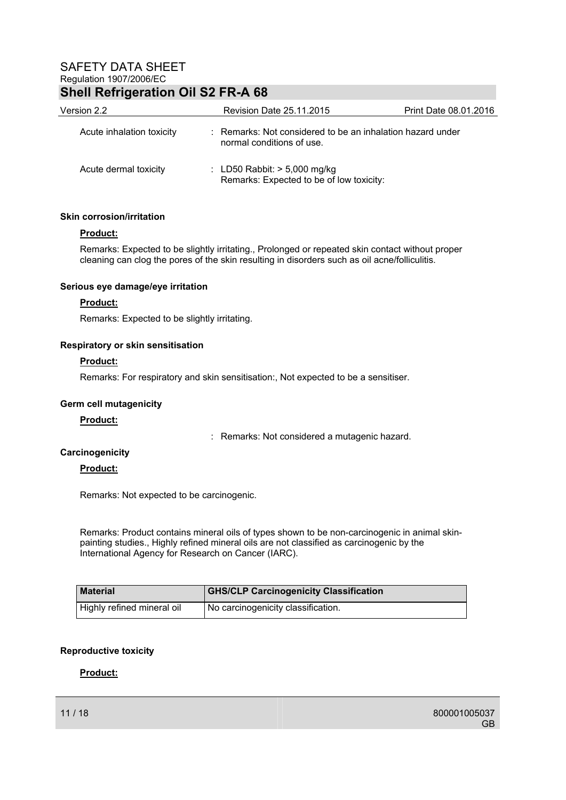# **Shell Refrigeration Oil S2 FR-A 68**

| Version 2.2               | <b>Revision Date 25.11.2015</b>                                                         | Print Date 08.01.2016 |
|---------------------------|-----------------------------------------------------------------------------------------|-----------------------|
| Acute inhalation toxicity | : Remarks: Not considered to be an inhalation hazard under<br>normal conditions of use. |                       |
| Acute dermal toxicity     | : LD50 Rabbit: $> 5,000$ mg/kg<br>Remarks: Expected to be of low toxicity:              |                       |

### **Skin corrosion/irritation**

### **Product:**

Remarks: Expected to be slightly irritating., Prolonged or repeated skin contact without proper cleaning can clog the pores of the skin resulting in disorders such as oil acne/folliculitis.

### **Serious eye damage/eye irritation**

### **Product:**

Remarks: Expected to be slightly irritating.

### **Respiratory or skin sensitisation**

### **Product:**

Remarks: For respiratory and skin sensitisation:, Not expected to be a sensitiser.

### **Germ cell mutagenicity**

### **Product:**

: Remarks: Not considered a mutagenic hazard.

### **Carcinogenicity**

### **Product:**

Remarks: Not expected to be carcinogenic.

Remarks: Product contains mineral oils of types shown to be non-carcinogenic in animal skinpainting studies., Highly refined mineral oils are not classified as carcinogenic by the International Agency for Research on Cancer (IARC).

| <b>Material</b>            | <b>GHS/CLP Carcinogenicity Classification</b> |
|----------------------------|-----------------------------------------------|
| Highly refined mineral oil | I No carcinogenicity classification.          |

### **Reproductive toxicity**

### **Product:**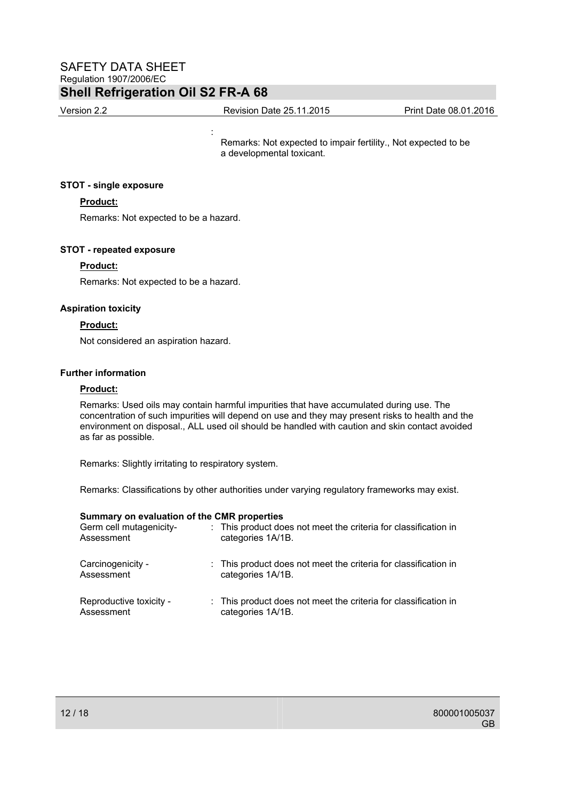**Service State State State State** 

Version 2.2 Revision Date 25.11.2015 Print Date 08.01.2016

Remarks: Not expected to impair fertility., Not expected to be a developmental toxicant.

### **STOT - single exposure**

### **Product:**

Remarks: Not expected to be a hazard.

### **STOT - repeated exposure**

### **Product:**

Remarks: Not expected to be a hazard.

### **Aspiration toxicity**

### **Product:**

Not considered an aspiration hazard.

### **Further information**

### **Product:**

Remarks: Used oils may contain harmful impurities that have accumulated during use. The concentration of such impurities will depend on use and they may present risks to health and the environment on disposal., ALL used oil should be handled with caution and skin contact avoided as far as possible.

Remarks: Slightly irritating to respiratory system.

Remarks: Classifications by other authorities under varying regulatory frameworks may exist.

### **Summary on evaluation of the CMR properties**

| Germ cell mutagenicity-<br>Assessment | : This product does not meet the criteria for classification in<br>categories 1A/1B. |
|---------------------------------------|--------------------------------------------------------------------------------------|
| Carcinogenicity -<br>Assessment       | : This product does not meet the criteria for classification in<br>categories 1A/1B. |
| Reproductive toxicity -<br>Assessment | : This product does not meet the criteria for classification in<br>categories 1A/1B. |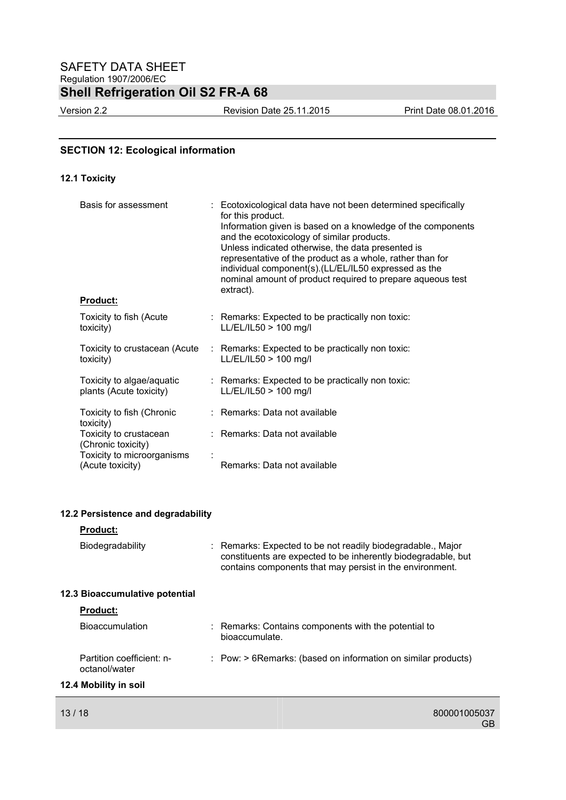Version 2.2 Revision Date 25.11.2015 Print Date 08.01.2016

### **SECTION 12: Ecological information**

### **12.1 Toxicity**

| Basis for assessment                                 | : Ecotoxicological data have not been determined specifically<br>for this product.<br>Information given is based on a knowledge of the components<br>and the ecotoxicology of similar products.<br>Unless indicated otherwise, the data presented is<br>representative of the product as a whole, rather than for<br>individual component(s). (LL/EL/IL50 expressed as the<br>nominal amount of product required to prepare aqueous test<br>extract). |
|------------------------------------------------------|-------------------------------------------------------------------------------------------------------------------------------------------------------------------------------------------------------------------------------------------------------------------------------------------------------------------------------------------------------------------------------------------------------------------------------------------------------|
| <b>Product:</b>                                      |                                                                                                                                                                                                                                                                                                                                                                                                                                                       |
| Toxicity to fish (Acute<br>toxicity)                 | $\therefore$ Remarks: Expected to be practically non toxic:<br>LL/EL/IL50 > 100 mg/l                                                                                                                                                                                                                                                                                                                                                                  |
| Toxicity to crustacean (Acute<br>toxicity)           | : Remarks: Expected to be practically non toxic:<br>LL/EL/IL50 > 100 mg/l                                                                                                                                                                                                                                                                                                                                                                             |
| Toxicity to algae/aquatic<br>plants (Acute toxicity) | : Remarks: Expected to be practically non toxic:<br>LL/EL/IL50 > 100 mg/l                                                                                                                                                                                                                                                                                                                                                                             |
| Toxicity to fish (Chronic<br>toxicity)               | : Remarks: Data not available                                                                                                                                                                                                                                                                                                                                                                                                                         |
| Toxicity to crustacean<br>(Chronic toxicity)         | : Remarks: Data not available                                                                                                                                                                                                                                                                                                                                                                                                                         |
| Toxicity to microorganisms<br>(Acute toxicity)       | Remarks: Data not available                                                                                                                                                                                                                                                                                                                                                                                                                           |

### **12.2 Persistence and degradability**

### **Product:**

| Biodegradability               | : Remarks: Expected to be not readily biodegradable., Major<br>constituents are expected to be inherently biodegradable, but<br>contains components that may persist in the environment. |
|--------------------------------|------------------------------------------------------------------------------------------------------------------------------------------------------------------------------------------|
| 12.3 Bioaccumulative potential |                                                                                                                                                                                          |
| <b>Product:</b>                |                                                                                                                                                                                          |
| <b>Bioaccumulation</b>         | : Remarks: Contains components with the potential to<br>bioaccumulate.                                                                                                                   |

: Pow: > 6Remarks: (based on information on similar products)

# **12.4 Mobility in soil**

octanol/water

Partition coefficient: n-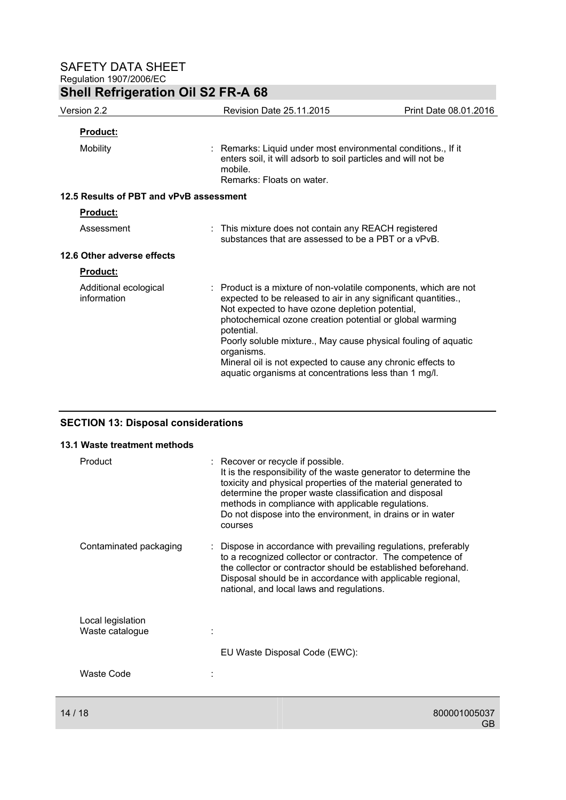| Version 2.2                             | <b>Revision Date 25.11.2015</b>                                                                                                                                                                                                                                                                                                                                                                                                                                         | Print Date 08.01.2016 |  |
|-----------------------------------------|-------------------------------------------------------------------------------------------------------------------------------------------------------------------------------------------------------------------------------------------------------------------------------------------------------------------------------------------------------------------------------------------------------------------------------------------------------------------------|-----------------------|--|
| <b>Product:</b>                         |                                                                                                                                                                                                                                                                                                                                                                                                                                                                         |                       |  |
| Mobility                                | : Remarks: Liquid under most environmental conditions., If it<br>enters soil, it will adsorb to soil particles and will not be<br>mobile.<br>Remarks: Floats on water.                                                                                                                                                                                                                                                                                                  |                       |  |
| 12.5 Results of PBT and vPvB assessment |                                                                                                                                                                                                                                                                                                                                                                                                                                                                         |                       |  |
| Product:                                |                                                                                                                                                                                                                                                                                                                                                                                                                                                                         |                       |  |
| Assessment                              | : This mixture does not contain any REACH registered<br>substances that are assessed to be a PBT or a vPvB.                                                                                                                                                                                                                                                                                                                                                             |                       |  |
| 12.6 Other adverse effects              |                                                                                                                                                                                                                                                                                                                                                                                                                                                                         |                       |  |
| Product:                                |                                                                                                                                                                                                                                                                                                                                                                                                                                                                         |                       |  |
| Additional ecological<br>information    | : Product is a mixture of non-volatile components, which are not<br>expected to be released to air in any significant quantities.,<br>Not expected to have ozone depletion potential,<br>photochemical ozone creation potential or global warming<br>potential.<br>Poorly soluble mixture., May cause physical fouling of aquatic<br>organisms.<br>Mineral oil is not expected to cause any chronic effects to<br>aquatic organisms at concentrations less than 1 mg/l. |                       |  |

## **SECTION 13: Disposal considerations**

#### **13.1 Waste treatment methods**

| Product                              | : Recover or recycle if possible.<br>It is the responsibility of the waste generator to determine the<br>toxicity and physical properties of the material generated to<br>determine the proper waste classification and disposal<br>methods in compliance with applicable regulations.<br>Do not dispose into the environment, in drains or in water<br>courses |
|--------------------------------------|-----------------------------------------------------------------------------------------------------------------------------------------------------------------------------------------------------------------------------------------------------------------------------------------------------------------------------------------------------------------|
| Contaminated packaging               | Dispose in accordance with prevailing regulations, preferably<br>to a recognized collector or contractor. The competence of<br>the collector or contractor should be established beforehand.<br>Disposal should be in accordance with applicable regional,<br>national, and local laws and regulations.                                                         |
| Local legislation<br>Waste catalogue |                                                                                                                                                                                                                                                                                                                                                                 |
| Waste Code                           | EU Waste Disposal Code (EWC):                                                                                                                                                                                                                                                                                                                                   |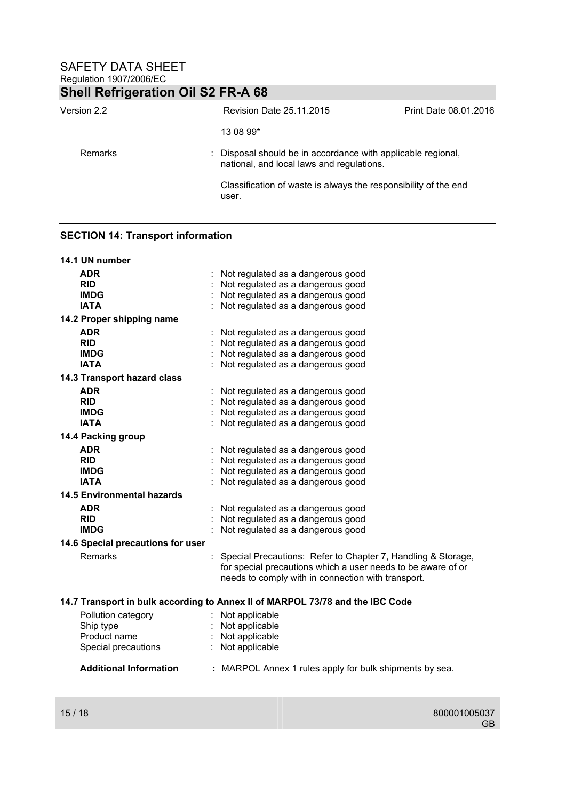| Version 2.2 | <b>Revision Date 25.11.2015</b>                                                                           | Print Date 08.01.2016 |
|-------------|-----------------------------------------------------------------------------------------------------------|-----------------------|
|             | 13 08 99*                                                                                                 |                       |
| Remarks     | : Disposal should be in accordance with applicable regional,<br>national, and local laws and regulations. |                       |
|             | Classification of waste is always the responsibility of the end<br>user.                                  |                       |

### **SECTION 14: Transport information**

| 14.1 UN number                    |                                                                               |
|-----------------------------------|-------------------------------------------------------------------------------|
| <b>ADR</b>                        | : Not regulated as a dangerous good                                           |
| <b>RID</b>                        | : Not regulated as a dangerous good                                           |
| <b>IMDG</b>                       | : Not regulated as a dangerous good                                           |
| <b>IATA</b>                       | : Not regulated as a dangerous good                                           |
| 14.2 Proper shipping name         |                                                                               |
| <b>ADR</b>                        | : Not regulated as a dangerous good                                           |
| <b>RID</b>                        | : Not regulated as a dangerous good                                           |
| <b>IMDG</b>                       | : Not regulated as a dangerous good                                           |
| <b>IATA</b>                       | : Not regulated as a dangerous good                                           |
| 14.3 Transport hazard class       |                                                                               |
| <b>ADR</b>                        | : Not regulated as a dangerous good                                           |
| <b>RID</b>                        | : Not regulated as a dangerous good                                           |
| <b>IMDG</b>                       | : Not regulated as a dangerous good                                           |
| <b>IATA</b>                       | : Not regulated as a dangerous good                                           |
| 14.4 Packing group                |                                                                               |
| <b>ADR</b>                        | : Not regulated as a dangerous good                                           |
| <b>RID</b>                        | : Not regulated as a dangerous good                                           |
| <b>IMDG</b>                       | : Not regulated as a dangerous good                                           |
| <b>IATA</b>                       | : Not regulated as a dangerous good                                           |
| <b>14.5 Environmental hazards</b> |                                                                               |
| <b>ADR</b>                        | : Not regulated as a dangerous good                                           |
| <b>RID</b>                        | : Not regulated as a dangerous good                                           |
| <b>IMDG</b>                       | Not regulated as a dangerous good                                             |
| 14.6 Special precautions for user |                                                                               |
| <b>Remarks</b>                    | : Special Precautions: Refer to Chapter 7, Handling & Storage,                |
|                                   | for special precautions which a user needs to be aware of or                  |
|                                   | needs to comply with in connection with transport.                            |
|                                   | 14.7 Transport in bulk according to Annex II of MARPOL 73/78 and the IBC Code |
|                                   |                                                                               |
| Pollution category                | : Not applicable                                                              |
| Ship type<br>Product name         | : Not applicable<br>: Not applicable                                          |
|                                   | : Not applicable                                                              |
| Special precautions               |                                                                               |
| <b>Additional Information</b>     | : MARPOL Annex 1 rules apply for bulk shipments by sea.                       |
|                                   |                                                                               |
|                                   |                                                                               |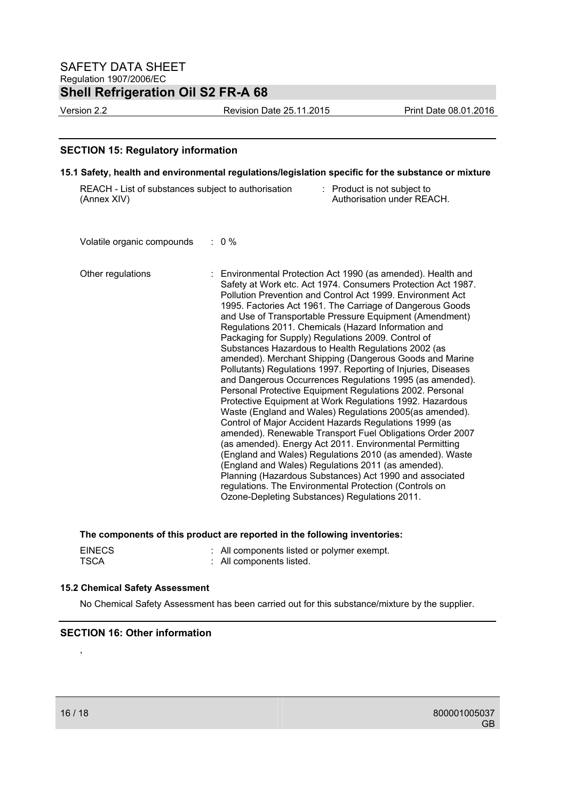Version 2.2 Revision Date 25.11.2015 Print Date 08.01.2016

### **SECTION 15: Regulatory information**

### **15.1 Safety, health and environmental regulations/legislation specific for the substance or mixture**

| REACH - List of substances subject to authorisation | : Product is not subject to |
|-----------------------------------------------------|-----------------------------|
| (Annex XIV)                                         | Authorisation under REACH.  |

Volatile organic compounds : 0 %

| Other regulations | : Environmental Protection Act 1990 (as amended). Health and<br>Safety at Work etc. Act 1974. Consumers Protection Act 1987.<br>Pollution Prevention and Control Act 1999. Environment Act<br>1995. Factories Act 1961. The Carriage of Dangerous Goods<br>and Use of Transportable Pressure Equipment (Amendment)<br>Regulations 2011. Chemicals (Hazard Information and<br>Packaging for Supply) Regulations 2009. Control of<br>Substances Hazardous to Health Regulations 2002 (as<br>amended). Merchant Shipping (Dangerous Goods and Marine<br>Pollutants) Regulations 1997. Reporting of Injuries, Diseases<br>and Dangerous Occurrences Regulations 1995 (as amended).<br>Personal Protective Equipment Regulations 2002. Personal<br>Protective Equipment at Work Regulations 1992. Hazardous<br>Waste (England and Wales) Regulations 2005(as amended).<br>Control of Major Accident Hazards Regulations 1999 (as<br>amended). Renewable Transport Fuel Obligations Order 2007<br>(as amended). Energy Act 2011. Environmental Permitting<br>(England and Wales) Regulations 2010 (as amended). Waste<br>(England and Wales) Regulations 2011 (as amended).<br>Planning (Hazardous Substances) Act 1990 and associated<br>regulations. The Environmental Protection (Controls on |
|-------------------|--------------------------------------------------------------------------------------------------------------------------------------------------------------------------------------------------------------------------------------------------------------------------------------------------------------------------------------------------------------------------------------------------------------------------------------------------------------------------------------------------------------------------------------------------------------------------------------------------------------------------------------------------------------------------------------------------------------------------------------------------------------------------------------------------------------------------------------------------------------------------------------------------------------------------------------------------------------------------------------------------------------------------------------------------------------------------------------------------------------------------------------------------------------------------------------------------------------------------------------------------------------------------------------------|
|                   | Ozone-Depleting Substances) Regulations 2011.                                                                                                                                                                                                                                                                                                                                                                                                                                                                                                                                                                                                                                                                                                                                                                                                                                                                                                                                                                                                                                                                                                                                                                                                                                              |

**The components of this product are reported in the following inventories:** 

| <b>EINECS</b> | All components listed or polymer exempt. |
|---------------|------------------------------------------|
| TSCA          | : All components listed.                 |

### **15.2 Chemical Safety Assessment**

No Chemical Safety Assessment has been carried out for this substance/mixture by the supplier.

### **SECTION 16: Other information**

,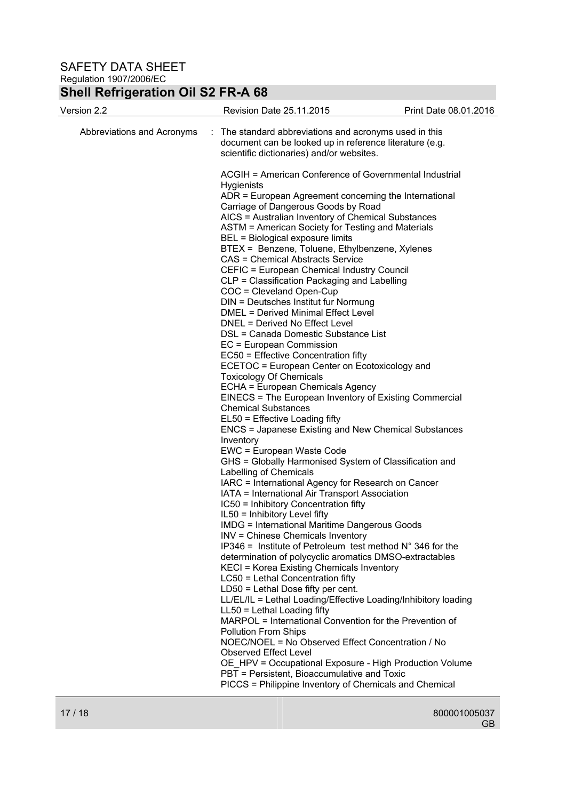## **Shell Refrigeration Oil S2 FR-A 68**

| Revision Date 25.11.2015                                                                                                                                                                                                                                                                                                                                                                                                                                                                                                                                                                                                                                                                         | Print Date 08.01.2016                                                                                                                                                                                                                                                                                                                                                                                                                                                                                                                                                                                                                                                                                                                                                                                                                                                                                                                                                                                                                                                                                                                                                                                                                                                                                                                                                                                                                                                                                                       |  |  |
|--------------------------------------------------------------------------------------------------------------------------------------------------------------------------------------------------------------------------------------------------------------------------------------------------------------------------------------------------------------------------------------------------------------------------------------------------------------------------------------------------------------------------------------------------------------------------------------------------------------------------------------------------------------------------------------------------|-----------------------------------------------------------------------------------------------------------------------------------------------------------------------------------------------------------------------------------------------------------------------------------------------------------------------------------------------------------------------------------------------------------------------------------------------------------------------------------------------------------------------------------------------------------------------------------------------------------------------------------------------------------------------------------------------------------------------------------------------------------------------------------------------------------------------------------------------------------------------------------------------------------------------------------------------------------------------------------------------------------------------------------------------------------------------------------------------------------------------------------------------------------------------------------------------------------------------------------------------------------------------------------------------------------------------------------------------------------------------------------------------------------------------------------------------------------------------------------------------------------------------------|--|--|
| The standard abbreviations and acronyms used in this<br>÷<br>document can be looked up in reference literature (e.g.<br>scientific dictionaries) and/or websites.                                                                                                                                                                                                                                                                                                                                                                                                                                                                                                                                |                                                                                                                                                                                                                                                                                                                                                                                                                                                                                                                                                                                                                                                                                                                                                                                                                                                                                                                                                                                                                                                                                                                                                                                                                                                                                                                                                                                                                                                                                                                             |  |  |
| <b>Hygienists</b><br>BEL = Biological exposure limits<br><b>CAS = Chemical Abstracts Service</b><br>COC = Cleveland Open-Cup<br>DNEL = Derived No Effect Level<br>EC = European Commission<br>EC50 = Effective Concentration fifty<br><b>Toxicology Of Chemicals</b><br><b>Chemical Substances</b><br>EL50 = Effective Loading fifty<br>Inventory<br>EWC = European Waste Code<br>Labelling of Chemicals<br>IC50 = Inhibitory Concentration fifty<br>IL50 = Inhibitory Level fifty<br>INV = Chinese Chemicals Inventory<br>LC50 = Lethal Concentration fifty<br>LD50 = Lethal Dose fifty per cent.<br>LL50 = Lethal Loading fifty<br><b>Pollution From Ships</b><br><b>Observed Effect Level</b> |                                                                                                                                                                                                                                                                                                                                                                                                                                                                                                                                                                                                                                                                                                                                                                                                                                                                                                                                                                                                                                                                                                                                                                                                                                                                                                                                                                                                                                                                                                                             |  |  |
|                                                                                                                                                                                                                                                                                                                                                                                                                                                                                                                                                                                                                                                                                                  |                                                                                                                                                                                                                                                                                                                                                                                                                                                                                                                                                                                                                                                                                                                                                                                                                                                                                                                                                                                                                                                                                                                                                                                                                                                                                                                                                                                                                                                                                                                             |  |  |
|                                                                                                                                                                                                                                                                                                                                                                                                                                                                                                                                                                                                                                                                                                  | ACGIH = American Conference of Governmental Industrial<br>ADR = European Agreement concerning the International<br>Carriage of Dangerous Goods by Road<br>AICS = Australian Inventory of Chemical Substances<br>ASTM = American Society for Testing and Materials<br>BTEX = Benzene, Toluene, Ethylbenzene, Xylenes<br>CEFIC = European Chemical Industry Council<br>CLP = Classification Packaging and Labelling<br>DIN = Deutsches Institut fur Normung<br><b>DMEL = Derived Minimal Effect Level</b><br>DSL = Canada Domestic Substance List<br>ECETOC = European Center on Ecotoxicology and<br>ECHA = European Chemicals Agency<br>EINECS = The European Inventory of Existing Commercial<br><b>ENCS = Japanese Existing and New Chemical Substances</b><br>GHS = Globally Harmonised System of Classification and<br>IARC = International Agency for Research on Cancer<br>IATA = International Air Transport Association<br><b>IMDG = International Maritime Dangerous Goods</b><br>IP346 = Institute of Petroleum test method $N^{\circ}$ 346 for the<br>determination of polycyclic aromatics DMSO-extractables<br>KECI = Korea Existing Chemicals Inventory<br>LL/EL/IL = Lethal Loading/Effective Loading/Inhibitory loading<br>MARPOL = International Convention for the Prevention of<br>NOEC/NOEL = No Observed Effect Concentration / No<br>OE_HPV = Occupational Exposure - High Production Volume<br>PBT = Persistent, Bioaccumulative and Toxic<br>PICCS = Philippine Inventory of Chemicals and Chemical |  |  |